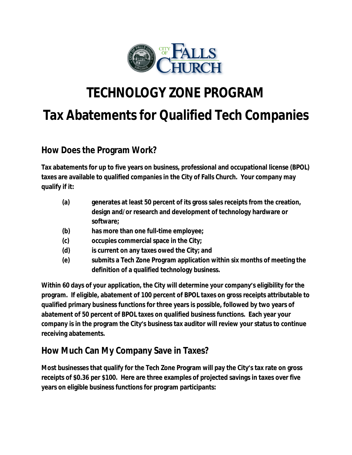

# **TECHNOLOGY ZONE PROGRAM Tax Abatements for Qualified Tech Companies**

### **How Does the Program Work?**

**Tax abatements for up to five years on business, professional and occupational license (BPOL) taxes are available to qualified companies in the City of Falls Church. Your company may qualify if it:**

- **(a) generates at least 50 percent of its gross sales receipts from the creation, design and/or research and development of technology hardware or software;**
- **(b) has more than one full-time employee;**
- **(c) occupies commercial space in the City;**
- **(d) is current on any taxes owed the City; and**
- **(e) submits a Tech Zone Program application within six months of meeting the definition of a qualified technology business.**

**Within 60 days of your application, the City will determine your company's eligibility for the program. If eligible, abatement of 100 percent of BPOL taxes on gross receipts attributable to qualified primary business functions for three years is possible, followed by two years of abatement of 50 percent of BPOL taxes on qualified business functions. Each year your company is in the program the City's business tax auditor will review your status to continue receiving abatements.** 

### **How Much Can My Company Save in Taxes?**

**Most businesses that qualify for the Tech Zone Program will pay the City's tax rate on gross receipts of \$0.36 per \$100. Here are three examples of projected savings in taxes over five years on eligible business functions for program participants:**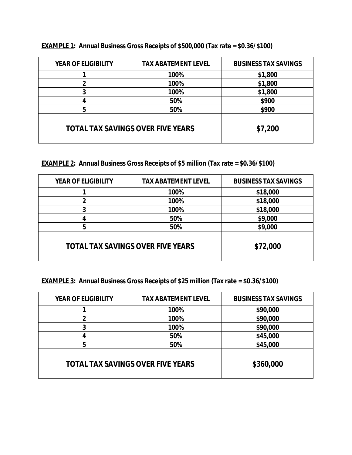| <b>YEAR OF ELIGIBILITY</b>               | <b>TAX ABATEMENT LEVEL</b> | <b>BUSINESS TAX SAVINGS</b> |
|------------------------------------------|----------------------------|-----------------------------|
|                                          | 100%                       | \$1,800                     |
|                                          | 100%                       | \$1,800                     |
|                                          | 100%                       | \$1,800                     |
|                                          | 50%                        | \$900                       |
| 5                                        | 50%                        | \$900                       |
| <b>TOTAL TAX SAVINGS OVER FIVE YEARS</b> |                            | \$7,200                     |

**EXAMPLE 1: Annual Business Gross Receipts of \$500,000 (Tax rate = \$0.36/\$100)**

**EXAMPLE 2: Annual Business Gross Receipts of \$5 million (Tax rate = \$0.36/\$100)**

| <b>YEAR OF ELIGIBILITY</b>               | <b>TAX ABATEMENT LEVEL</b> | <b>BUSINESS TAX SAVINGS</b> |
|------------------------------------------|----------------------------|-----------------------------|
|                                          | 100%                       | \$18,000                    |
| 2                                        | 100%                       | \$18,000                    |
| 3                                        | 100%                       | \$18,000                    |
| 4                                        | 50%                        | \$9,000                     |
| 5                                        | 50%                        | \$9,000                     |
| <b>TOTAL TAX SAVINGS OVER FIVE YEARS</b> |                            | \$72,000                    |

**EXAMPLE 3: Annual Business Gross Receipts of \$25 million (Tax rate = \$0.36/\$100)**

| <b>YEAR OF ELIGIBILITY</b>               | <b>TAX ABATEMENT LEVEL</b> | <b>BUSINESS TAX SAVINGS</b> |
|------------------------------------------|----------------------------|-----------------------------|
|                                          | 100%                       | \$90,000                    |
| $\overline{2}$                           | 100%                       | \$90,000                    |
| 3                                        | 100%                       | \$90,000                    |
|                                          | 50%                        | \$45,000                    |
| 5                                        | 50%                        | \$45,000                    |
| <b>TOTAL TAX SAVINGS OVER FIVE YEARS</b> |                            | \$360,000                   |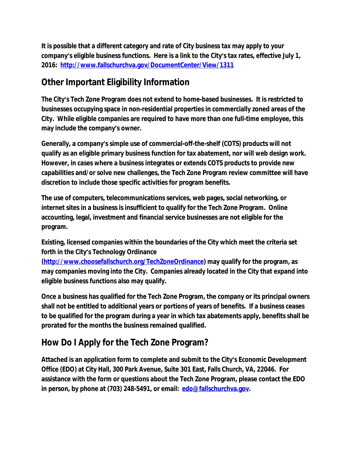**It is possible that a different category and rate of City business tax may apply to your company's eligible business functions. Here is a link to the City's tax rates, effective July 1, 2016: <http://www.fallschurchva.gov/DocumentCenter/View/1311>**

## **Other Important Eligibility Information**

**The City's Tech Zone Program does not extend to home-based businesses. It is restricted to businesses occupying space in non-residential properties in commercially zoned areas of the City. While eligible companies are required to have more than one full-time employee, this may include the company's owner.**

**Generally, a company's simple use of commercial-off-the-shelf (COTS) products will not qualify as an eligible primary business function for tax abatement, nor will web design work. However, in cases where a business integrates or extends COTS products to provide new capabilities and/or solve new challenges, the Tech Zone Program review committee will have discretion to include those specific activities for program benefits.**

**The use of computers, telecommunications services, web pages, social networking, or internet sites in a business is insufficient to qualify for the Tech Zone Program. Online accounting, legal, investment and financial service businesses are not eligible for the program.**

**Existing, licensed companies within the boundaries of the City which meet the criteria set forth in the City's Technology Ordinance** 

**(<http://www.choosefallschurch.org/TechZoneOrdinance>) may qualify for the program, as may companies moving into the City. Companies already located in the City that expand into eligible business functions also may qualify.** 

**Once a business has qualified for the Tech Zone Program, the company or its principal owners shall not be entitled to additional years or portions of years of benefits. If a business ceases to be qualified for the program during a year in which tax abatements apply, benefits shall be prorated for the months the business remained qualified.** 

# **How Do I Apply for the Tech Zone Program?**

**Attached is an application form to complete and submit to the City's Economic Development Office (EDO) at City Hall, 300 Park Avenue, Suite 301 East, Falls Church, VA, 22046. For assistance with the form or questions about the Tech Zone Program, please contact the EDO in person, by phone at (703) 248-5491, or email: [edo@fallschurchva.gov](mailto:edo@fallschurchva.gov).**